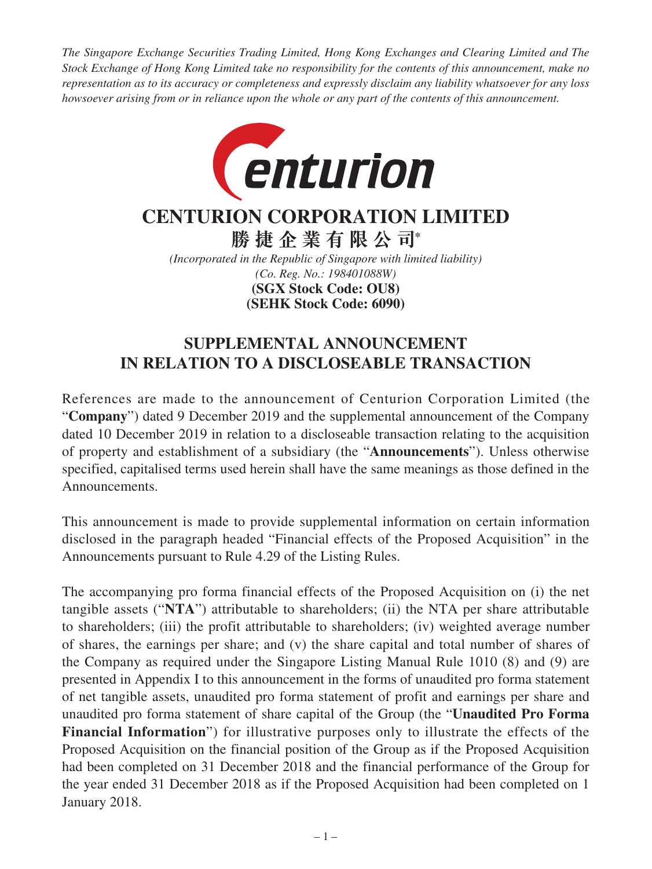*The Singapore Exchange Securities Trading Limited, Hong Kong Exchanges and Clearing Limited and The Stock Exchange of Hong Kong Limited take no responsibility for the contents of this announcement, make no representation as to its accuracy or completeness and expressly disclaim any liability whatsoever for any loss howsoever arising from or in reliance upon the whole or any part of the contents of this announcement.*



# **CENTURION CORPORATION LIMITED**

**勝捷企業有限公司\***

*(Incorporated in the Republic of Singapore with limited liability) (Co. Reg. No.: 198401088W)* **(SEHK Stock Code: 6090) (SGX Stock Code: OU8)**

## **SUPPLEMENTAL ANNOUNCEMENT IN RELATION TO A DISCLOSEABLE TRANSACTION**

References are made to the announcement of Centurion Corporation Limited (the "**Company**") dated 9 December 2019 and the supplemental announcement of the Company dated 10 December 2019 in relation to a discloseable transaction relating to the acquisition of property and establishment of a subsidiary (the "**Announcements**"). Unless otherwise specified, capitalised terms used herein shall have the same meanings as those defined in the Announcements.

This announcement is made to provide supplemental information on certain information disclosed in the paragraph headed "Financial effects of the Proposed Acquisition" in the Announcements pursuant to Rule 4.29 of the Listing Rules.

The accompanying pro forma financial effects of the Proposed Acquisition on (i) the net tangible assets ("**NTA**") attributable to shareholders; (ii) the NTA per share attributable to shareholders; (iii) the profit attributable to shareholders; (iv) weighted average number of shares, the earnings per share; and (v) the share capital and total number of shares of the Company as required under the Singapore Listing Manual Rule 1010 (8) and (9) are presented in Appendix I to this announcement in the forms of unaudited pro forma statement of net tangible assets, unaudited pro forma statement of profit and earnings per share and unaudited pro forma statement of share capital of the Group (the "**Unaudited Pro Forma Financial Information**") for illustrative purposes only to illustrate the effects of the Proposed Acquisition on the financial position of the Group as if the Proposed Acquisition had been completed on 31 December 2018 and the financial performance of the Group for the year ended 31 December 2018 as if the Proposed Acquisition had been completed on 1 January 2018.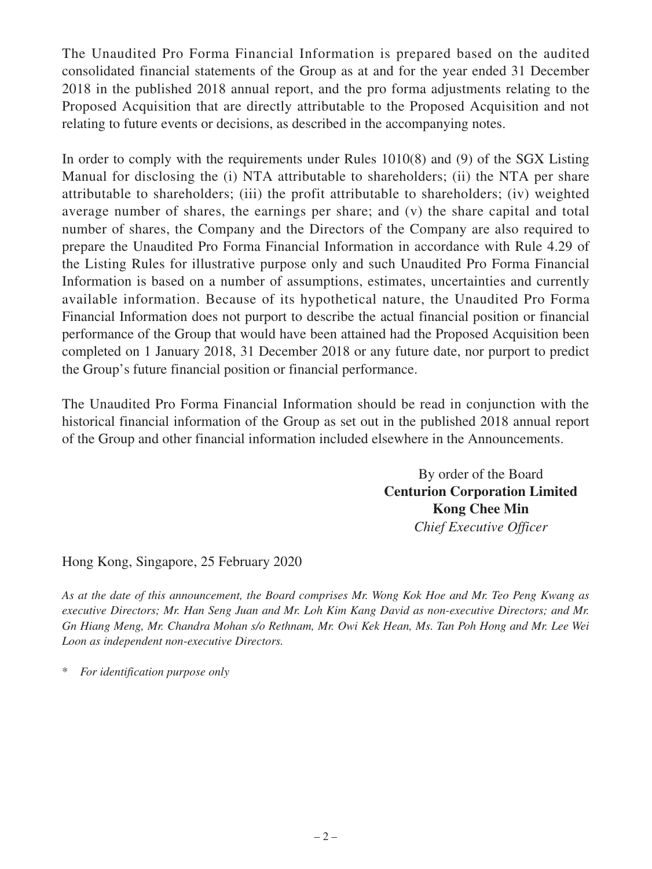The Unaudited Pro Forma Financial Information is prepared based on the audited consolidated financial statements of the Group as at and for the year ended 31 December 2018 in the published 2018 annual report, and the pro forma adjustments relating to the Proposed Acquisition that are directly attributable to the Proposed Acquisition and not relating to future events or decisions, as described in the accompanying notes.

In order to comply with the requirements under Rules 1010(8) and (9) of the SGX Listing Manual for disclosing the (i) NTA attributable to shareholders; (ii) the NTA per share attributable to shareholders; (iii) the profit attributable to shareholders; (iv) weighted average number of shares, the earnings per share; and (v) the share capital and total number of shares, the Company and the Directors of the Company are also required to prepare the Unaudited Pro Forma Financial Information in accordance with Rule 4.29 of the Listing Rules for illustrative purpose only and such Unaudited Pro Forma Financial Information is based on a number of assumptions, estimates, uncertainties and currently available information. Because of its hypothetical nature, the Unaudited Pro Forma Financial Information does not purport to describe the actual financial position or financial performance of the Group that would have been attained had the Proposed Acquisition been completed on 1 January 2018, 31 December 2018 or any future date, nor purport to predict the Group's future financial position or financial performance.

The Unaudited Pro Forma Financial Information should be read in conjunction with the historical financial information of the Group as set out in the published 2018 annual report of the Group and other financial information included elsewhere in the Announcements.

> By order of the Board **Centurion Corporation Limited Kong Chee Min** *Chief Executive Officer*

Hong Kong, Singapore, 25 February 2020

*As at the date of this announcement, the Board comprises Mr. Wong Kok Hoe and Mr. Teo Peng Kwang as executive Directors; Mr. Han Seng Juan and Mr. Loh Kim Kang David as non-executive Directors; and Mr. Gn Hiang Meng, Mr. Chandra Mohan s/o Rethnam, Mr. Owi Kek Hean, Ms. Tan Poh Hong and Mr. Lee Wei Loon as independent non-executive Directors.*

 $For$  *identification purpose only*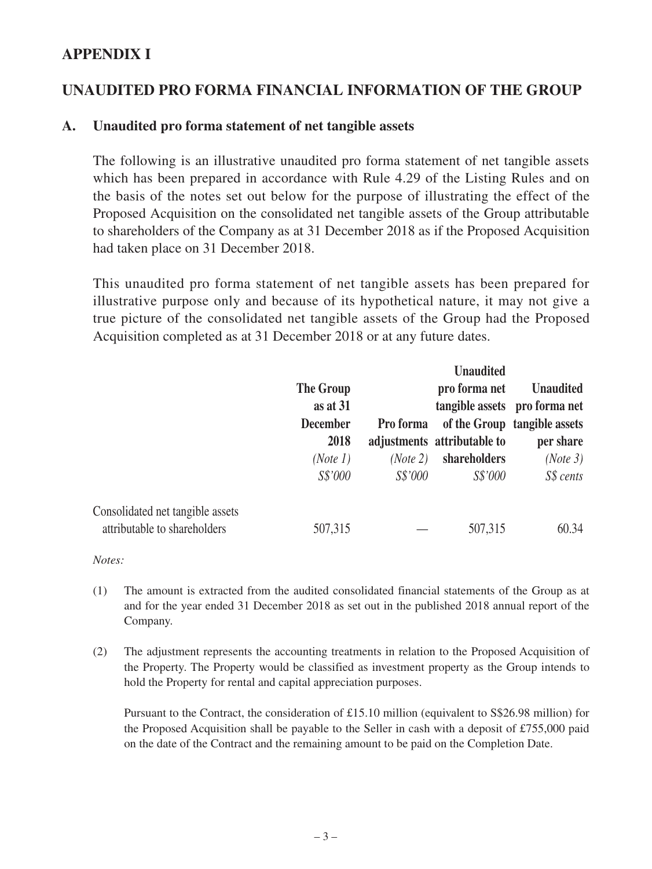#### **APPENDIX I**

## **UNAUDITED PRO FORMA FINANCIAL INFORMATION OF THE GROUP**

#### **A. Unaudited pro forma statement of net tangible assets**

The following is an illustrative unaudited pro forma statement of net tangible assets which has been prepared in accordance with Rule 4.29 of the Listing Rules and on the basis of the notes set out below for the purpose of illustrating the effect of the Proposed Acquisition on the consolidated net tangible assets of the Group attributable to shareholders of the Company as at 31 December 2018 as if the Proposed Acquisition had taken place on 31 December 2018.

This unaudited pro forma statement of net tangible assets has been prepared for illustrative purpose only and because of its hypothetical nature, it may not give a true picture of the consolidated net tangible assets of the Group had the Proposed Acquisition completed as at 31 December 2018 or at any future dates.

|                                  |                                                         |           | <b>Unaudited</b><br>pro forma net<br>adjustments attributable to | <b>Unaudited</b><br>tangible assets pro forma net<br>of the Group tangible assets<br>per share |
|----------------------------------|---------------------------------------------------------|-----------|------------------------------------------------------------------|------------------------------------------------------------------------------------------------|
|                                  | <b>The Group</b><br>as at 31<br><b>December</b><br>2018 |           |                                                                  |                                                                                                |
|                                  |                                                         |           |                                                                  |                                                                                                |
|                                  |                                                         | Pro forma |                                                                  |                                                                                                |
|                                  |                                                         |           |                                                                  |                                                                                                |
|                                  | (Note 1)                                                | (Note 2)  | shareholders                                                     | (Note 3)                                                                                       |
|                                  | S\$'000                                                 | S\$'000   | S\$'000                                                          | S\$ cents                                                                                      |
| Consolidated net tangible assets |                                                         |           |                                                                  |                                                                                                |
| attributable to shareholders     | 507,315                                                 |           | 507,315                                                          | 60.34                                                                                          |

*Notes:*

- (1) The amount is extracted from the audited consolidated financial statements of the Group as at and for the year ended 31 December 2018 as set out in the published 2018 annual report of the Company.
- (2) The adjustment represents the accounting treatments in relation to the Proposed Acquisition of the Property. The Property would be classified as investment property as the Group intends to hold the Property for rental and capital appreciation purposes.

Pursuant to the Contract, the consideration of £15.10 million (equivalent to S\$26.98 million) for the Proposed Acquisition shall be payable to the Seller in cash with a deposit of £755,000 paid on the date of the Contract and the remaining amount to be paid on the Completion Date.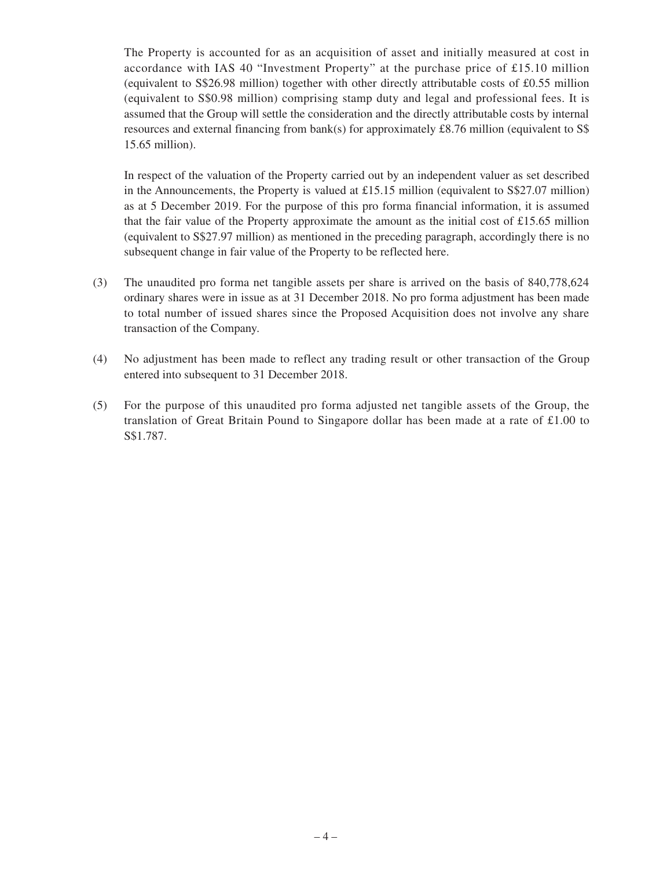The Property is accounted for as an acquisition of asset and initially measured at cost in accordance with IAS 40 "Investment Property" at the purchase price of £15.10 million (equivalent to S\$26.98 million) together with other directly attributable costs of £0.55 million (equivalent to S\$0.98 million) comprising stamp duty and legal and professional fees. It is assumed that the Group will settle the consideration and the directly attributable costs by internal resources and external financing from bank(s) for approximately £8.76 million (equivalent to S\$ 15.65 million).

In respect of the valuation of the Property carried out by an independent valuer as set described in the Announcements, the Property is valued at £15.15 million (equivalent to S\$27.07 million) as at 5 December 2019. For the purpose of this pro forma financial information, it is assumed that the fair value of the Property approximate the amount as the initial cost of £15.65 million (equivalent to S\$27.97 million) as mentioned in the preceding paragraph, accordingly there is no subsequent change in fair value of the Property to be reflected here.

- (3) The unaudited pro forma net tangible assets per share is arrived on the basis of 840,778,624 ordinary shares were in issue as at 31 December 2018. No pro forma adjustment has been made to total number of issued shares since the Proposed Acquisition does not involve any share transaction of the Company.
- (4) No adjustment has been made to reflect any trading result or other transaction of the Group entered into subsequent to 31 December 2018.
- (5) For the purpose of this unaudited pro forma adjusted net tangible assets of the Group, the translation of Great Britain Pound to Singapore dollar has been made at a rate of £1.00 to S\$1.787.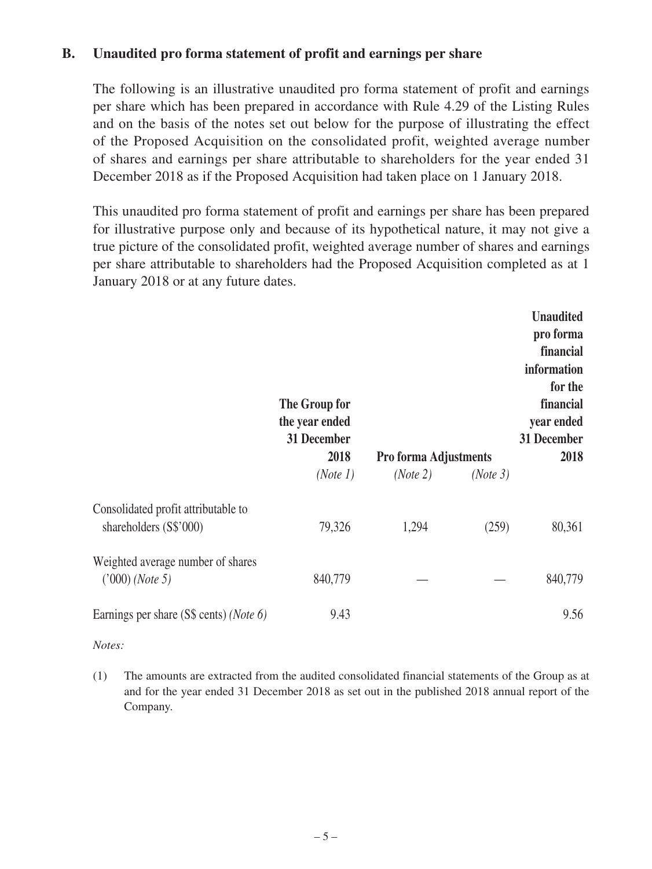#### **B. Unaudited pro forma statement of profit and earnings per share**

The following is an illustrative unaudited pro forma statement of profit and earnings per share which has been prepared in accordance with Rule 4.29 of the Listing Rules and on the basis of the notes set out below for the purpose of illustrating the effect of the Proposed Acquisition on the consolidated profit, weighted average number of shares and earnings per share attributable to shareholders for the year ended 31 December 2018 as if the Proposed Acquisition had taken place on 1 January 2018.

This unaudited pro forma statement of profit and earnings per share has been prepared for illustrative purpose only and because of its hypothetical nature, it may not give a true picture of the consolidated profit, weighted average number of shares and earnings per share attributable to shareholders had the Proposed Acquisition completed as at 1 January 2018 or at any future dates.

|                                                               | The Group for<br>the year ended<br>31 December<br>2018<br>(Note 1) | <b>Pro forma Adjustments</b><br>(Note 2) | (Note 3) | <b>Unaudited</b><br>pro forma<br>financial<br>information<br>for the<br>financial<br>year ended<br>31 December<br>2018 |
|---------------------------------------------------------------|--------------------------------------------------------------------|------------------------------------------|----------|------------------------------------------------------------------------------------------------------------------------|
| Consolidated profit attributable to<br>shareholders (S\$'000) | 79,326                                                             | 1,294                                    | (259)    | 80,361                                                                                                                 |
| Weighted average number of shares<br>('000) (Note 5)          | 840,779                                                            |                                          |          | 840,779                                                                                                                |
| Earnings per share (S\$ cents) (Note 6)                       | 9.43                                                               |                                          |          | 9.56                                                                                                                   |

*Notes:*

(1) The amounts are extracted from the audited consolidated financial statements of the Group as at and for the year ended 31 December 2018 as set out in the published 2018 annual report of the Company.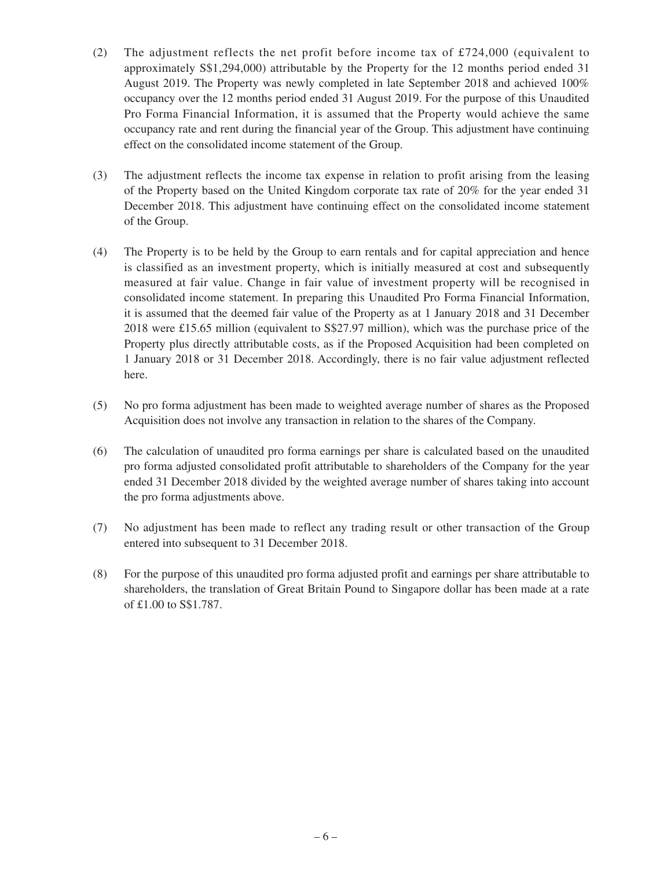- (2) The adjustment reflects the net profit before income tax of £724,000 (equivalent to approximately S\$1,294,000) attributable by the Property for the 12 months period ended 31 August 2019. The Property was newly completed in late September 2018 and achieved 100% occupancy over the 12 months period ended 31 August 2019. For the purpose of this Unaudited Pro Forma Financial Information, it is assumed that the Property would achieve the same occupancy rate and rent during the financial year of the Group. This adjustment have continuing effect on the consolidated income statement of the Group.
- (3) The adjustment reflects the income tax expense in relation to profit arising from the leasing of the Property based on the United Kingdom corporate tax rate of 20% for the year ended 31 December 2018. This adjustment have continuing effect on the consolidated income statement of the Group.
- (4) The Property is to be held by the Group to earn rentals and for capital appreciation and hence is classified as an investment property, which is initially measured at cost and subsequently measured at fair value. Change in fair value of investment property will be recognised in consolidated income statement. In preparing this Unaudited Pro Forma Financial Information, it is assumed that the deemed fair value of the Property as at 1 January 2018 and 31 December 2018 were £15.65 million (equivalent to S\$27.97 million), which was the purchase price of the Property plus directly attributable costs, as if the Proposed Acquisition had been completed on 1 January 2018 or 31 December 2018. Accordingly, there is no fair value adjustment reflected here.
- (5) No pro forma adjustment has been made to weighted average number of shares as the Proposed Acquisition does not involve any transaction in relation to the shares of the Company.
- (6) The calculation of unaudited pro forma earnings per share is calculated based on the unaudited pro forma adjusted consolidated profit attributable to shareholders of the Company for the year ended 31 December 2018 divided by the weighted average number of shares taking into account the pro forma adjustments above.
- (7) No adjustment has been made to reflect any trading result or other transaction of the Group entered into subsequent to 31 December 2018.
- (8) For the purpose of this unaudited pro forma adjusted profit and earnings per share attributable to shareholders, the translation of Great Britain Pound to Singapore dollar has been made at a rate of £1.00 to S\$1.787.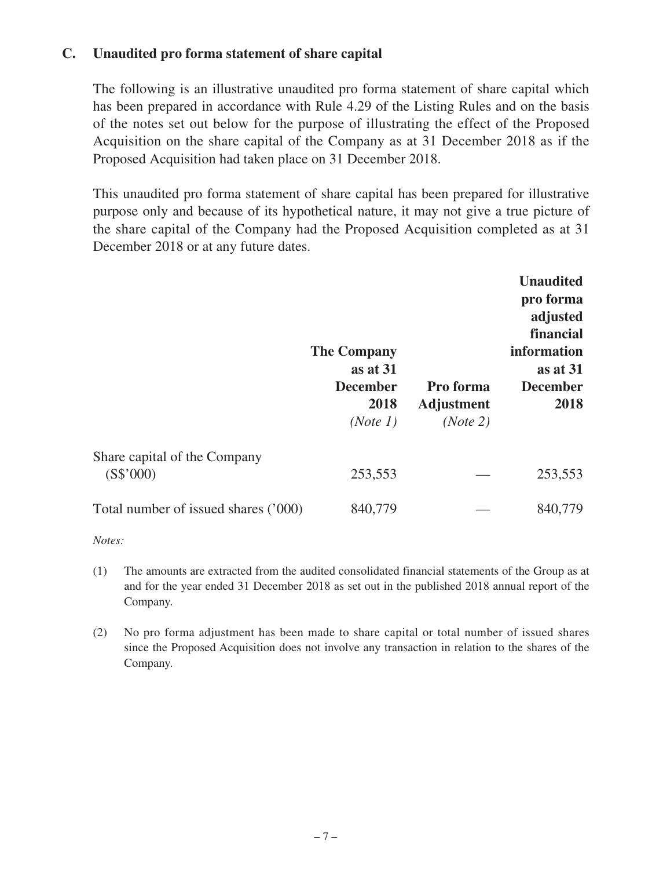#### **C. Unaudited pro forma statement of share capital**

The following is an illustrative unaudited pro forma statement of share capital which has been prepared in accordance with Rule 4.29 of the Listing Rules and on the basis of the notes set out below for the purpose of illustrating the effect of the Proposed Acquisition on the share capital of the Company as at 31 December 2018 as if the Proposed Acquisition had taken place on 31 December 2018.

This unaudited pro forma statement of share capital has been prepared for illustrative purpose only and because of its hypothetical nature, it may not give a true picture of the share capital of the Company had the Proposed Acquisition completed as at 31 December 2018 or at any future dates.

|                                           | <b>The Company</b><br>as at 31<br><b>December</b><br>2018<br>(Note 1) | Pro forma<br><b>Adjustment</b><br>(Note 2) | <b>Unaudited</b><br>pro forma<br>adjusted<br>financial<br>information<br>as at 31<br><b>December</b><br>2018 |
|-------------------------------------------|-----------------------------------------------------------------------|--------------------------------------------|--------------------------------------------------------------------------------------------------------------|
| Share capital of the Company<br>(S\$'000) | 253,553                                                               |                                            | 253,553                                                                                                      |
| Total number of issued shares ('000)      | 840,779                                                               |                                            | 840,779                                                                                                      |

*Notes:*

- (1) The amounts are extracted from the audited consolidated financial statements of the Group as at and for the year ended 31 December 2018 as set out in the published 2018 annual report of the Company.
- (2) No pro forma adjustment has been made to share capital or total number of issued shares since the Proposed Acquisition does not involve any transaction in relation to the shares of the Company.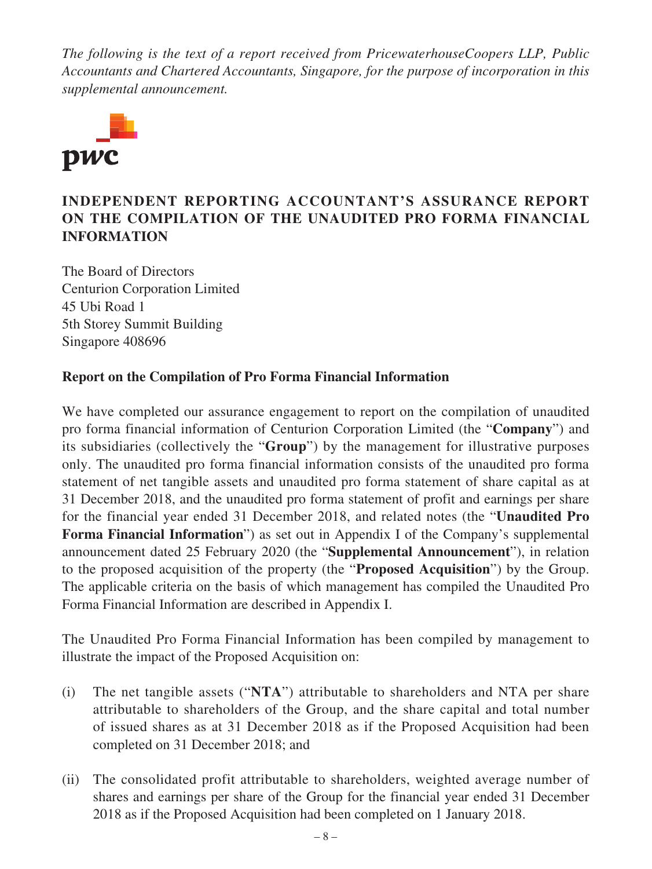*The following is the text of a report received from PricewaterhouseCoopers LLP, Public Accountants and Chartered Accountants, Singapore, for the purpose of incorporation in this supplemental announcement.*



## **INDEPENDENT REPORTING ACCOUNTANT'S ASSURANCE REPORT ON THE COMPILATION OF THE UNAUDITED PRO FORMA FINANCIAL INFORMATION**

The Board of Directors Centurion Corporation Limited 45 Ubi Road 1 5th Storey Summit Building Singapore 408696

#### **Report on the Compilation of Pro Forma Financial Information**

We have completed our assurance engagement to report on the compilation of unaudited pro forma financial information of Centurion Corporation Limited (the "**Company**") and its subsidiaries (collectively the "**Group**") by the management for illustrative purposes only. The unaudited pro forma financial information consists of the unaudited pro forma statement of net tangible assets and unaudited pro forma statement of share capital as at 31 December 2018, and the unaudited pro forma statement of profit and earnings per share for the financial year ended 31 December 2018, and related notes (the "**Unaudited Pro Forma Financial Information**") as set out in Appendix I of the Company's supplemental announcement dated 25 February 2020 (the "**Supplemental Announcement**"), in relation to the proposed acquisition of the property (the "**Proposed Acquisition**") by the Group. The applicable criteria on the basis of which management has compiled the Unaudited Pro Forma Financial Information are described in Appendix I.

The Unaudited Pro Forma Financial Information has been compiled by management to illustrate the impact of the Proposed Acquisition on:

- (i) The net tangible assets ("**NTA**") attributable to shareholders and NTA per share attributable to shareholders of the Group, and the share capital and total number of issued shares as at 31 December 2018 as if the Proposed Acquisition had been completed on 31 December 2018; and
- (ii) The consolidated profit attributable to shareholders, weighted average number of shares and earnings per share of the Group for the financial year ended 31 December 2018 as if the Proposed Acquisition had been completed on 1 January 2018.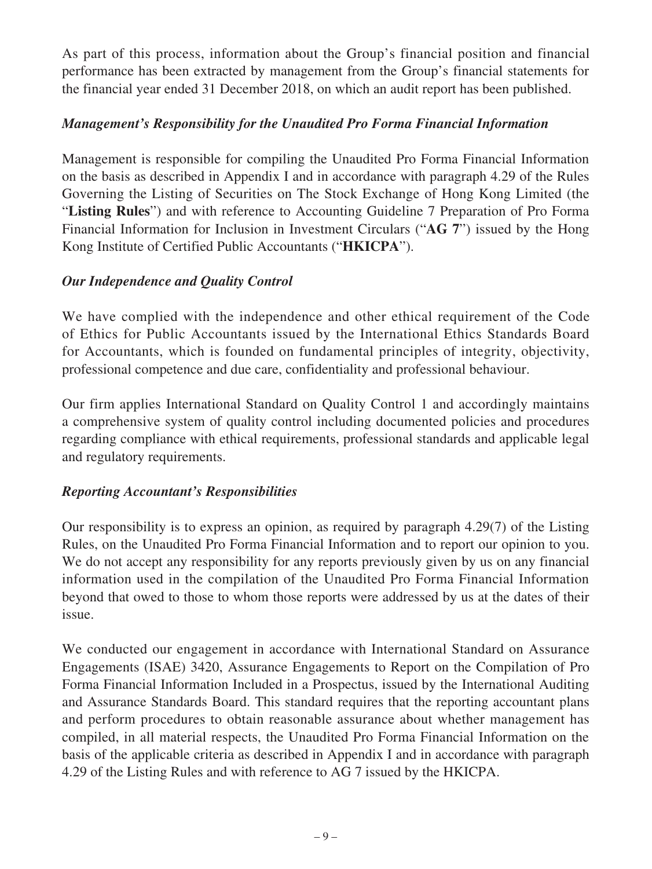As part of this process, information about the Group's financial position and financial performance has been extracted by management from the Group's financial statements for the financial year ended 31 December 2018, on which an audit report has been published.

## *Management's Responsibility for the Unaudited Pro Forma Financial Information*

Management is responsible for compiling the Unaudited Pro Forma Financial Information on the basis as described in Appendix I and in accordance with paragraph 4.29 of the Rules Governing the Listing of Securities on The Stock Exchange of Hong Kong Limited (the "**Listing Rules**") and with reference to Accounting Guideline 7 Preparation of Pro Forma Financial Information for Inclusion in Investment Circulars ("**AG 7**") issued by the Hong Kong Institute of Certified Public Accountants ("**HKICPA**").

## *Our Independence and Quality Control*

We have complied with the independence and other ethical requirement of the Code of Ethics for Public Accountants issued by the International Ethics Standards Board for Accountants, which is founded on fundamental principles of integrity, objectivity, professional competence and due care, confidentiality and professional behaviour.

Our firm applies International Standard on Quality Control 1 and accordingly maintains a comprehensive system of quality control including documented policies and procedures regarding compliance with ethical requirements, professional standards and applicable legal and regulatory requirements.

### *Reporting Accountant's Responsibilities*

Our responsibility is to express an opinion, as required by paragraph 4.29(7) of the Listing Rules, on the Unaudited Pro Forma Financial Information and to report our opinion to you. We do not accept any responsibility for any reports previously given by us on any financial information used in the compilation of the Unaudited Pro Forma Financial Information beyond that owed to those to whom those reports were addressed by us at the dates of their issue.

We conducted our engagement in accordance with International Standard on Assurance Engagements (ISAE) 3420, Assurance Engagements to Report on the Compilation of Pro Forma Financial Information Included in a Prospectus, issued by the International Auditing and Assurance Standards Board. This standard requires that the reporting accountant plans and perform procedures to obtain reasonable assurance about whether management has compiled, in all material respects, the Unaudited Pro Forma Financial Information on the basis of the applicable criteria as described in Appendix I and in accordance with paragraph 4.29 of the Listing Rules and with reference to AG 7 issued by the HKICPA.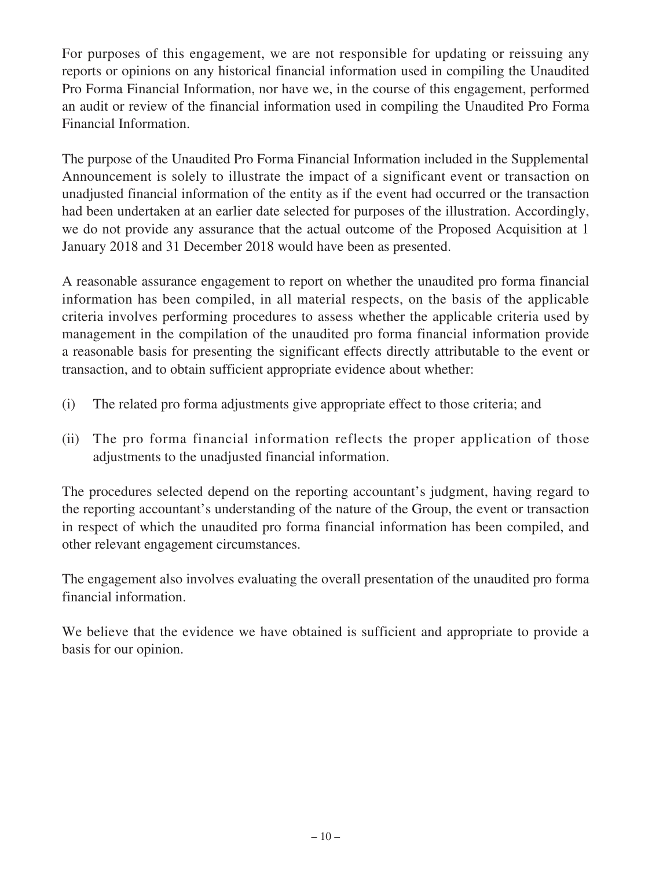For purposes of this engagement, we are not responsible for updating or reissuing any reports or opinions on any historical financial information used in compiling the Unaudited Pro Forma Financial Information, nor have we, in the course of this engagement, performed an audit or review of the financial information used in compiling the Unaudited Pro Forma Financial Information.

The purpose of the Unaudited Pro Forma Financial Information included in the Supplemental Announcement is solely to illustrate the impact of a significant event or transaction on unadjusted financial information of the entity as if the event had occurred or the transaction had been undertaken at an earlier date selected for purposes of the illustration. Accordingly, we do not provide any assurance that the actual outcome of the Proposed Acquisition at 1 January 2018 and 31 December 2018 would have been as presented.

A reasonable assurance engagement to report on whether the unaudited pro forma financial information has been compiled, in all material respects, on the basis of the applicable criteria involves performing procedures to assess whether the applicable criteria used by management in the compilation of the unaudited pro forma financial information provide a reasonable basis for presenting the significant effects directly attributable to the event or transaction, and to obtain sufficient appropriate evidence about whether:

- (i) The related pro forma adjustments give appropriate effect to those criteria; and
- (ii) The pro forma financial information reflects the proper application of those adjustments to the unadjusted financial information.

The procedures selected depend on the reporting accountant's judgment, having regard to the reporting accountant's understanding of the nature of the Group, the event or transaction in respect of which the unaudited pro forma financial information has been compiled, and other relevant engagement circumstances.

The engagement also involves evaluating the overall presentation of the unaudited pro forma financial information.

We believe that the evidence we have obtained is sufficient and appropriate to provide a basis for our opinion.